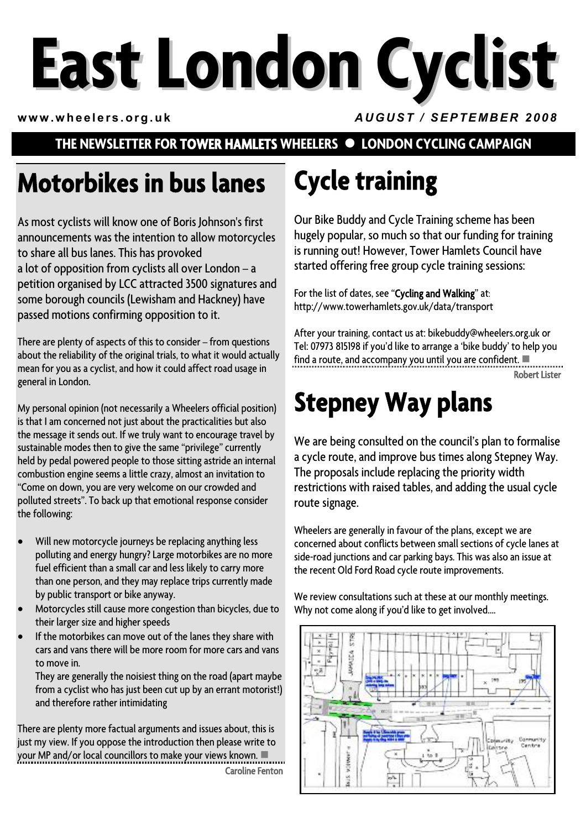# **East London Cyclist**

**www.wheelers.org.uk** *AUGUST / SEPTEMBER 2008*

#### **THE NEWSLETTER FOR TOWER HAMLETS WHEELERS**  $\bullet$  **LONDON CYCLING CAMPAIGN**

## **Motorbikes in bus lanes**

As most cyclists will know one of Boris Johnson's first announcements was the intention to allow motorcycles to share all bus lanes. This has provoked a lot of opposition from cyclists all over London – a petition organised by LCC attracted 3500 signatures and some borough councils (Lewisham and Hackney) have passed motions confirming opposition to it.

There are plenty of aspects of this to consider – from questions about the reliability of the original trials, to what it would actually mean for you as a cyclist, and how it could affect road usage in general in London.

My personal opinion (not necessarily a Wheelers official position) is that I am concerned not just about the practicalities but also the message it sends out. If we truly want to encourage travel by sustainable modes then to give the same "privilege" currently held by pedal powered people to those sitting astride an internal combustion engine seems a little crazy, almost an invitation to "Come on down, you are very welcome on our crowded and polluted streets". To back up that emotional response consider the following:

- Will new motorcycle journeys be replacing anything less polluting and energy hungry? Large motorbikes are no more fuel efficient than a small car and less likely to carry more than one person, and they may replace trips currently made by public transport or bike anyway.
- Motorcycles still cause more congestion than bicycles, due to their larger size and higher speeds
- If the motorbikes can move out of the lanes they share with cars and vans there will be more room for more cars and vans to move in.

They are generally the noisiest thing on the road (apart maybe from a cyclist who has just been cut up by an errant motorist!) and therefore rather intimidating

There are plenty more factual arguments and issues about, this is just my view. If you oppose the introduction then please write to your MP and/or local councillors to make your views known.  $\blacksquare$ Caroline Fenton

# **Cycle training**

Our Bike Buddy and Cycle Training scheme has been hugely popular, so much so that our funding for training is running out! However, Tower Hamlets Council have started offering free group cycle training sessions:

For the list of dates, see "Cycling and Walking" at: http://www.towerhamlets.gov.uk/data/transport

After your training, contact us at: bikebuddy@wheelers.org.uk or Tel: 07973 815198 if you'd like to arrange a 'bike buddy' to help you find a route, and accompany you until you are confident.  $\blacksquare$ Robert Lister

## **Stepney Way plans**

We are being consulted on the council's plan to formalise a cycle route, and improve bus times along Stepney Way. The proposals include replacing the priority width restrictions with raised tables, and adding the usual cycle route signage.

Wheelers are generally in favour of the plans, except we are concerned about conflicts between small sections of cycle lanes at side-road junctions and car parking bays. This was also an issue at the recent Old Ford Road cycle route improvements.

We review consultations such at these at our monthly meetings. Why not come along if you'd like to get involved....

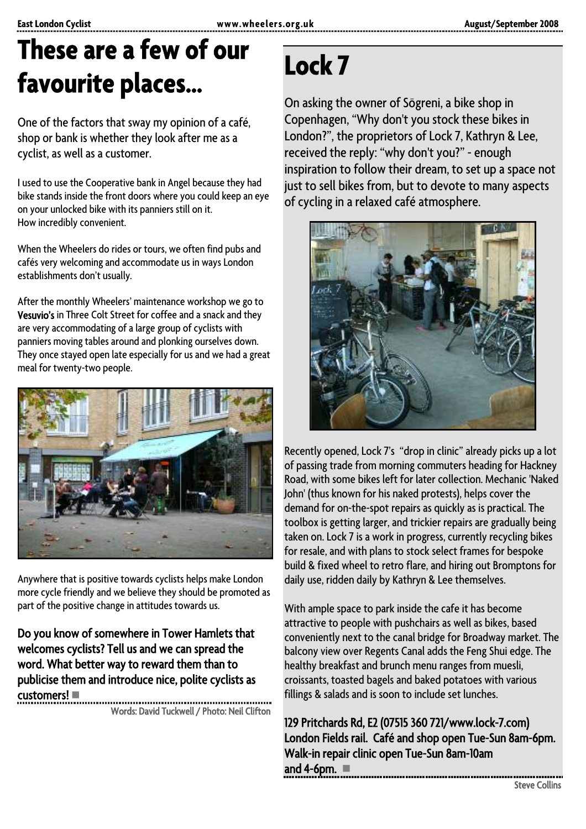### **These are a few of our favourite places…**

One of the factors that sway my opinion of a café, shop or bank is whether they look after me as a cyclist, as well as a customer.

I used to use the Cooperative bank in Angel because they had bike stands inside the front doors where you could keep an eye on your unlocked bike with its panniers still on it. How incredibly convenient.

When the Wheelers do rides or tours, we often find pubs and cafés very welcoming and accommodate us in ways London establishments don't usually.

After the monthly Wheelers' maintenance workshop we go to Vesuvio's in Three Colt Street for coffee and a snack and they are very accommodating of a large group of cyclists with panniers moving tables around and plonking ourselves down. They once stayed open late especially for us and we had a great meal for twenty-two people.



Anywhere that is positive towards cyclists helps make London more cycle friendly and we believe they should be promoted as part of the positive change in attitudes towards us.

Do you know of somewhere in Tower Hamlets that welcomes cyclists? Tell us and we can spread the word. What better way to reward them than to publicise them and introduce nice, polite cyclists as  $cuts$ tomers! $\blacksquare$ 

Words: David Tuckwell / Photo: Neil Clifton

### **Lock 7**

On asking the owner of Sögreni, a bike shop in Copenhagen, "Why don't you stock these bikes in London?", the proprietors of Lock 7, Kathryn & Lee, received the reply: "why don't you?" - enough inspiration to follow their dream, to set up a space not just to sell bikes from, but to devote to many aspects of cycling in a relaxed café atmosphere.



Recently opened, Lock 7's "drop in clinic" already picks up a lot of passing trade from morning commuters heading for Hackney Road, with some bikes left for later collection. Mechanic 'Naked John' (thus known for his naked protests), helps cover the demand for on-the-spot repairs as quickly as is practical. The toolbox is getting larger, and trickier repairs are gradually being taken on. Lock 7 is a work in progress, currently recycling bikes for resale, and with plans to stock select frames for bespoke build & fixed wheel to retro flare, and hiring out Bromptons for daily use, ridden daily by Kathryn & Lee themselves.

With ample space to park inside the cafe it has become attractive to people with pushchairs as well as bikes, based conveniently next to the canal bridge for Broadway market. The balcony view over Regents Canal adds the Feng Shui edge. The healthy breakfast and brunch menu ranges from muesli, croissants, toasted bagels and baked potatoes with various fillings & salads and is soon to include set lunches.

129 Pritchards Rd, E2 (07515 360 721/www.lock-7.com) London Fields rail. Café and shop open Tue-Sun 8am-6pm. Walk-in repair clinic open Tue-Sun 8am-10am and 4-6pm.  $\blacksquare$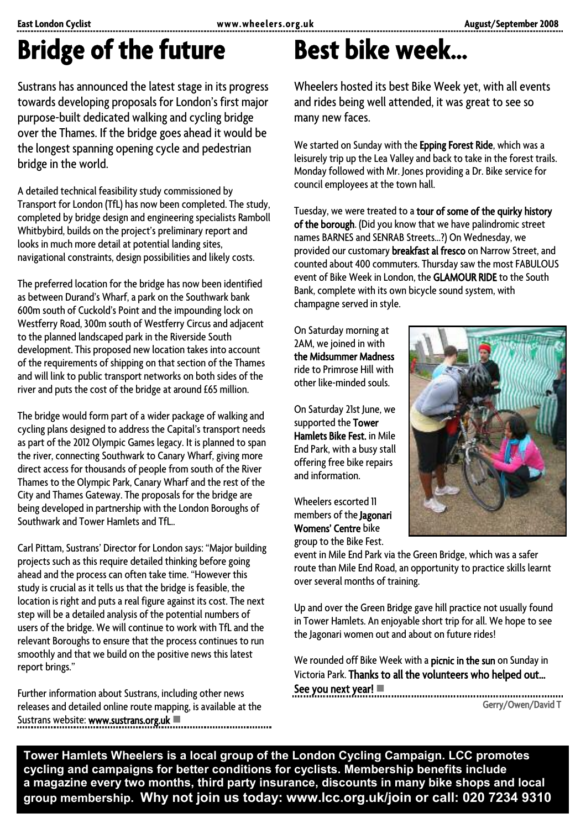## **Bridge of the future**

Sustrans has announced the latest stage in its progress towards developing proposals for London's first major purpose-built dedicated walking and cycling bridge over the Thames. If the bridge goes ahead it would be the longest spanning opening cycle and pedestrian bridge in the world.

A detailed technical feasibility study commissioned by Transport for London (TfL) has now been completed. The study, completed by bridge design and engineering specialists Ramboll Whitbybird, builds on the project's preliminary report and looks in much more detail at potential landing sites, navigational constraints, design possibilities and likely costs.

The preferred location for the bridge has now been identified as between Durand's Wharf, a park on the Southwark bank 600m south of Cuckold's Point and the impounding lock on Westferry Road, 300m south of Westferry Circus and adjacent to the planned landscaped park in the Riverside South development. This proposed new location takes into account of the requirements of shipping on that section of the Thames and will link to public transport networks on both sides of the river and puts the cost of the bridge at around £65 million.

The bridge would form part of a wider package of walking and cycling plans designed to address the Capital's transport needs as part of the 2012 Olympic Games legacy. It is planned to span the river, connecting Southwark to Canary Wharf, giving more direct access for thousands of people from south of the River Thames to the Olympic Park, Canary Wharf and the rest of the City and Thames Gateway. The proposals for the bridge are being developed in partnership with the London Boroughs of Southwark and Tower Hamlets and TfL..

Carl Pittam, Sustrans' Director for London says: "Major building projects such as this require detailed thinking before going ahead and the process can often take time. "However this study is crucial as it tells us that the bridge is feasible, the location is right and puts a real figure against its cost. The next step will be a detailed analysis of the potential numbers of users of the bridge. We will continue to work with TfL and the relevant Boroughs to ensure that the process continues to run smoothly and that we build on the positive news this latest report brings."

Further information about Sustrans, including other news releases and detailed online route mapping, is available at the Sustrans website: www.sustrans.org.uk

## **Best bike week…**

Wheelers hosted its best Bike Week yet, with all events and rides being well attended, it was great to see so many new faces.

We started on Sunday with the Epping Forest Ride, which was a leisurely trip up the Lea Valley and back to take in the forest trails. Monday followed with Mr. Jones providing a Dr. Bike service for council employees at the town hall.

Tuesday, we were treated to a tour of some of the quirky history of the borough. (Did you know that we have palindromic street names BARNES and SENRAB Streets…?) On Wednesday, we provided our customary breakfast al fresco on Narrow Street, and counted about 400 commuters. Thursday saw the most FABULOUS event of Bike Week in London, the GLAMOUR RIDE to the South Bank, complete with its own bicycle sound system, with champagne served in style.

On Saturday morning at 2AM, we joined in with the Midsummer Madness ride to Primrose Hill with other like-minded souls.

On Saturday 21st June, we supported the Tower Hamlets Bike Fest. in Mile End Park, with a busy stall offering free bike repairs and information.

Wheelers escorted 11 members of the Jagonari Womens' Centre bike group to the Bike Fest.



event in Mile End Park via the Green Bridge, which was a safer route than Mile End Road, an opportunity to practice skills learnt over several months of training.

Up and over the Green Bridge gave hill practice not usually found in Tower Hamlets. An enjoyable short trip for all. We hope to see the Jagonari women out and about on future rides!

We rounded off Bike Week with a picnic in the sun on Sunday in Victoria Park. Thanks to all the volunteers who helped out… See you next year!  $\blacksquare$ 

Gerry/Owen/David T

**Tower Hamlets Wheelers is a local group of the London Cycling Campaign. LCC promotes cycling and campaigns for better conditions for cyclists. Membership benefits include a magazine every two months, third party insurance, discounts in many bike shops and local group membership. Why not join us today: www.lcc.org.uk/join or call: 020 7234 9310**